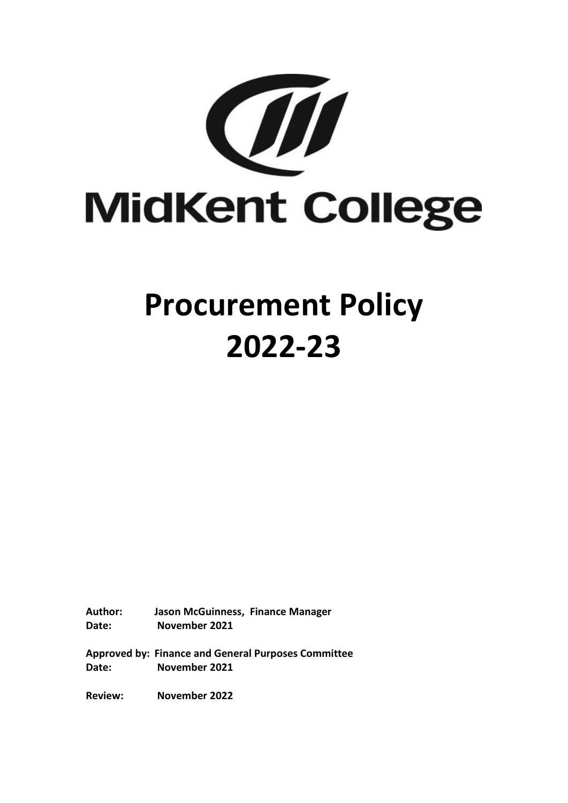

# **Procurement Policy 2022-23**

**Author: Jason McGuinness, Finance Manager Date: November 2021**

**Approved by: Finance and General Purposes Committee Date: November 2021**

**Review: November 2022**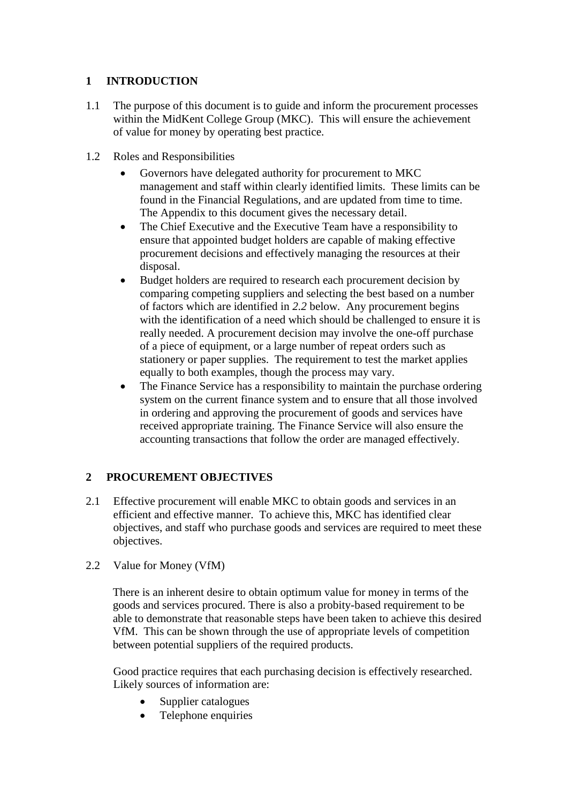## **1 INTRODUCTION**

- 1.1 The purpose of this document is to guide and inform the procurement processes within the MidKent College Group (MKC). This will ensure the achievement of value for money by operating best practice.
- 1.2 Roles and Responsibilities
	- Governors have delegated authority for procurement to MKC management and staff within clearly identified limits. These limits can be found in the Financial Regulations, and are updated from time to time. The Appendix to this document gives the necessary detail.
	- The Chief Executive and the Executive Team have a responsibility to ensure that appointed budget holders are capable of making effective procurement decisions and effectively managing the resources at their disposal.
	- Budget holders are required to research each procurement decision by comparing competing suppliers and selecting the best based on a number of factors which are identified in *2.2* below*.* Any procurement begins with the identification of a need which should be challenged to ensure it is really needed. A procurement decision may involve the one-off purchase of a piece of equipment, or a large number of repeat orders such as stationery or paper supplies. The requirement to test the market applies equally to both examples, though the process may vary.
	- The Finance Service has a responsibility to maintain the purchase ordering system on the current finance system and to ensure that all those involved in ordering and approving the procurement of goods and services have received appropriate training. The Finance Service will also ensure the accounting transactions that follow the order are managed effectively.

# **2 PROCUREMENT OBJECTIVES**

- 2.1 Effective procurement will enable MKC to obtain goods and services in an efficient and effective manner. To achieve this, MKC has identified clear objectives, and staff who purchase goods and services are required to meet these objectives.
- 2.2 Value for Money (VfM)

There is an inherent desire to obtain optimum value for money in terms of the goods and services procured. There is also a probity-based requirement to be able to demonstrate that reasonable steps have been taken to achieve this desired VfM. This can be shown through the use of appropriate levels of competition between potential suppliers of the required products.

Good practice requires that each purchasing decision is effectively researched. Likely sources of information are:

- Supplier catalogues
- Telephone enquiries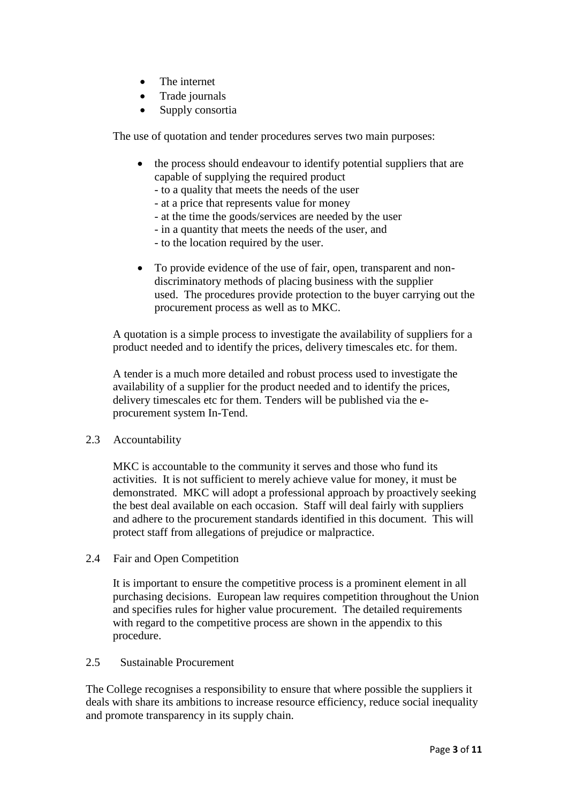- The internet
- Trade journals
- Supply consortia

The use of [quotation and tender procedures s](http://www.felp.ac.uk/1701.html)erves two main purposes:

- the process should endeavour to identify potential suppliers that are capable of supplying the required product
	- to a quality that meets the needs of the user
	- at a price that represents value for money
	- at the time the goods/services are needed by the user
	- in a quantity that meets the needs of the user, and
	- to the location required by the user.
- To provide evidence of the use of fair, open, transparent and nondiscriminatory methods of placing business with the supplier used. The procedures provide protection to the buyer carrying out the procurement process as well as to MKC.

A quotation is a simple process to investigate the availability of suppliers for a product needed and to identify the prices, delivery timescales etc. for them.

A tender is a much more detailed and robust process used to investigate the availability of a supplier for the product needed and to identify the prices, delivery timescales etc for them. Tenders will be published via the eprocurement system In-Tend.

#### 2.3 Accountability

MKC is accountable to the community it serves and those who fund its activities. It is not sufficient to merely achieve value for money, it must be demonstrated. MKC will adopt a professional approach by proactively seeking the best deal available on each occasion. Staff will deal fairly with suppliers and adhere to the procurement standards identified in this document. This will protect staff from allegations of prejudice or malpractice.

2.4 Fair and Open Competition

It is important to ensure the competitive process is a prominent element in all purchasing decisions. European law requires competition throughout the Union and specifies rules for higher value procurement. The detailed requirements with regard to the competitive process are shown in the appendix to this procedure.

## 2.5 Sustainable Procurement

The College recognises a responsibility to ensure that where possible the suppliers it deals with share its ambitions to increase resource efficiency, reduce social inequality and promote transparency in its supply chain.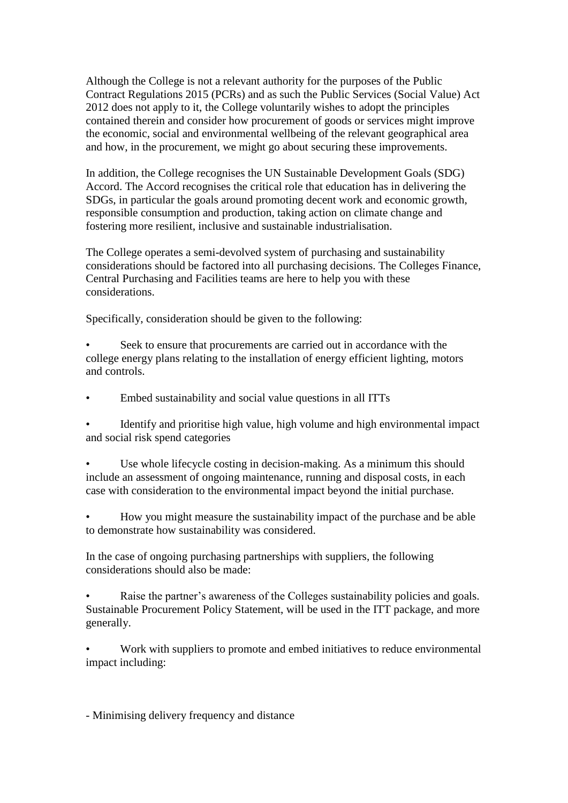Although the College is not a relevant authority for the purposes of the Public Contract Regulations 2015 (PCRs) and as such the Public Services (Social Value) Act 2012 does not apply to it, the College voluntarily wishes to adopt the principles contained therein and consider how procurement of goods or services might improve the economic, social and environmental wellbeing of the relevant geographical area and how, in the procurement, we might go about securing these improvements.

In addition, the College recognises the UN Sustainable Development Goals (SDG) Accord. The Accord recognises the critical role that education has in delivering the SDGs, in particular the goals around promoting decent work and economic growth, responsible consumption and production, taking action on climate change and fostering more resilient, inclusive and sustainable industrialisation.

The College operates a semi-devolved system of purchasing and sustainability considerations should be factored into all purchasing decisions. The Colleges Finance, Central Purchasing and Facilities teams are here to help you with these considerations.

Specifically, consideration should be given to the following:

Seek to ensure that procurements are carried out in accordance with the college energy plans relating to the installation of energy efficient lighting, motors and controls.

• Embed sustainability and social value questions in all ITTs

• Identify and prioritise high value, high volume and high environmental impact and social risk spend categories

Use whole lifecycle costing in decision-making. As a minimum this should include an assessment of ongoing maintenance, running and disposal costs, in each case with consideration to the environmental impact beyond the initial purchase.

• How you might measure the sustainability impact of the purchase and be able to demonstrate how sustainability was considered.

In the case of ongoing purchasing partnerships with suppliers, the following considerations should also be made:

Raise the partner's awareness of the Colleges sustainability policies and goals. Sustainable Procurement Policy Statement, will be used in the ITT package, and more generally.

• Work with suppliers to promote and embed initiatives to reduce environmental impact including:

- Minimising delivery frequency and distance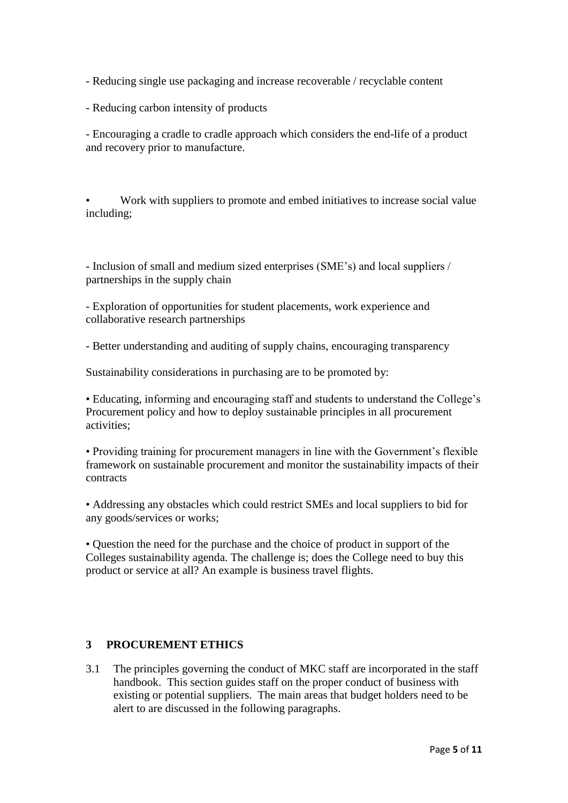- Reducing single use packaging and increase recoverable / recyclable content
- Reducing carbon intensity of products

- Encouraging a cradle to cradle approach which considers the end-life of a product and recovery prior to manufacture.

• Work with suppliers to promote and embed initiatives to increase social value including;

- Inclusion of small and medium sized enterprises (SME's) and local suppliers / partnerships in the supply chain

- Exploration of opportunities for student placements, work experience and collaborative research partnerships

- Better understanding and auditing of supply chains, encouraging transparency

Sustainability considerations in purchasing are to be promoted by:

• Educating, informing and encouraging staff and students to understand the College's Procurement policy and how to deploy sustainable principles in all procurement activities;

• Providing training for procurement managers in line with the Government's flexible framework on sustainable procurement and monitor the sustainability impacts of their contracts

• Addressing any obstacles which could restrict SMEs and local suppliers to bid for any goods/services or works;

• Question the need for the purchase and the choice of product in support of the Colleges sustainability agenda. The challenge is; does the College need to buy this product or service at all? An example is business travel flights.

## **3 PROCUREMENT ETHICS**

3.1 The principles governing the conduct of MKC staff are incorporated in the staff handbook. This section guides staff on the proper conduct of business with existing or potential suppliers. The main areas that budget holders need to be alert to are discussed in the following paragraphs.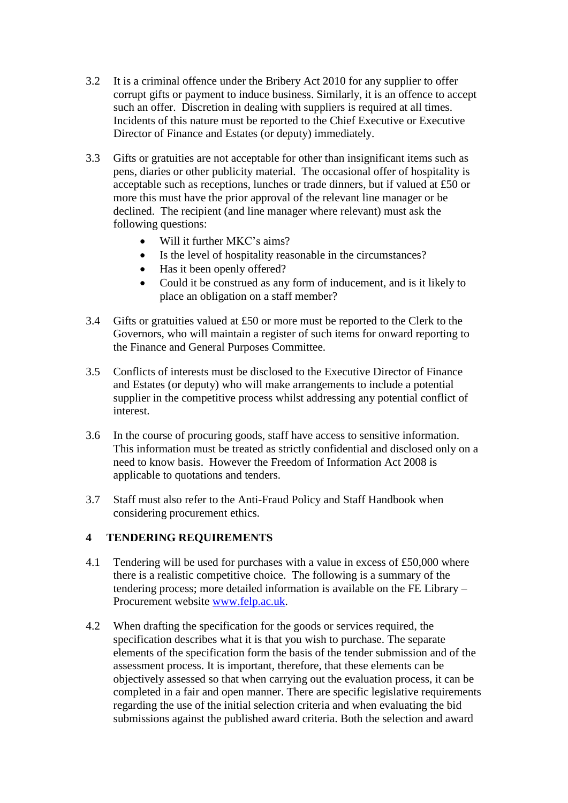- 3.2 It is a criminal offence under the Bribery Act 2010 for any supplier to offer corrupt gifts or payment to induce business. Similarly, it is an offence to accept such an offer. Discretion in dealing with suppliers is required at all times. Incidents of this nature must be reported to the Chief Executive or Executive Director of Finance and Estates (or deputy) immediately.
- 3.3 Gifts or gratuities are not acceptable for other than insignificant items such as pens, diaries or other publicity material. The occasional offer of hospitality is acceptable such as receptions, lunches or trade dinners, but if valued at £50 or more this must have the prior approval of the relevant line manager or be declined. The recipient (and line manager where relevant) must ask the following questions:
	- Will it further MKC's aims?
	- Is the level of hospitality reasonable in the circumstances?
	- Has it been openly offered?
	- Could it be construed as any form of inducement, and is it likely to place an obligation on a staff member?
- 3.4 Gifts or gratuities valued at £50 or more must be reported to the Clerk to the Governors, who will maintain a register of such items for onward reporting to the Finance and General Purposes Committee.
- 3.5 Conflicts of interests must be disclosed to the Executive Director of Finance and Estates (or deputy) who will make arrangements to include a potential supplier in the competitive process whilst addressing any potential conflict of interest.
- 3.6 In the course of procuring goods, staff have access to sensitive information. This information must be treated as strictly confidential and disclosed only on a need to know basis. However the Freedom of Information Act 2008 is applicable to quotations and tenders.
- 3.7 Staff must also refer to the Anti-Fraud Policy and Staff Handbook when considering procurement ethics.

## **4 TENDERING REQUIREMENTS**

- 4.1 Tendering will be used for purchases with a value in excess of £50,000 where there is a realistic competitive choice. The following is a summary of the tendering process; more detailed information is available on the FE Library – Procurement website [www.felp.ac.uk.](http://www.felp.ac.uk/)
- 4.2 When drafting the specification for the goods or services required, the specification describes what it is that you wish to purchase. The separate elements of the specification form the basis of the tender submission and of the assessment process. It is important, therefore, that these elements can be objectively assessed so that when carrying out the evaluation process, it can be completed in a fair and open manner. There are specific legislative requirements regarding the use of the initial selection criteria and when evaluating the bid submissions against the published award criteria. Both the selection and award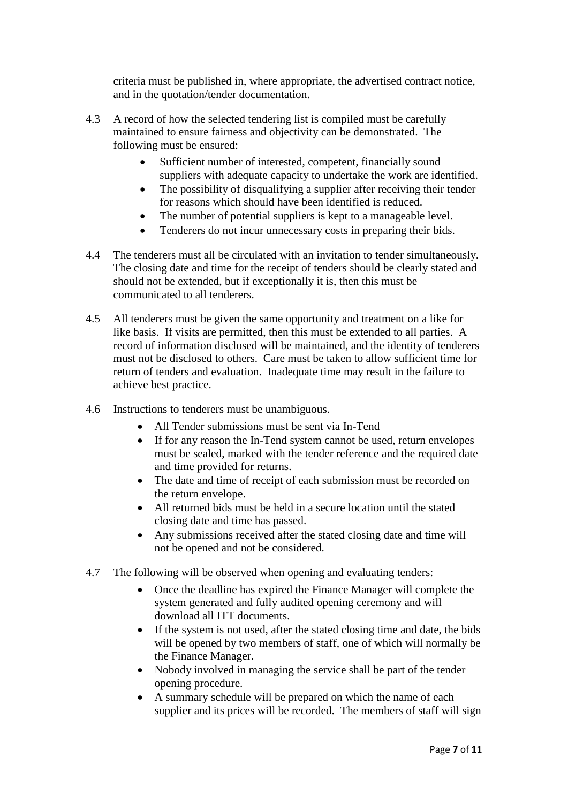criteria must be published in, where appropriate, the advertised contract notice, and in the quotation/tender documentation.

- 4.3 A record of how the selected tendering list is compiled must be carefully maintained to ensure fairness and objectivity can be demonstrated. The following must be ensured:
	- Sufficient number of interested, competent, financially sound suppliers with adequate capacity to undertake the work are identified.
	- The possibility of disqualifying a supplier after receiving their tender for reasons which should have been identified is reduced.
	- The number of potential suppliers is kept to a manageable level.
	- Tenderers do not incur unnecessary costs in preparing their bids.
- 4.4 The tenderers must all be circulated with an invitation to tender simultaneously. The closing date and time for the receipt of tenders should be clearly stated and should not be extended, but if exceptionally it is, then this must be communicated to all tenderers.
- 4.5 All tenderers must be given the same opportunity and treatment on a like for like basis. If visits are permitted, then this must be extended to all parties. A record of information disclosed will be maintained, and the identity of tenderers must not be disclosed to others. Care must be taken to allow sufficient time for return of tenders and evaluation. Inadequate time may result in the failure to achieve best practice.
- 4.6 Instructions to tenderers must be unambiguous.
	- All Tender submissions must be sent via In-Tend
	- If for any reason the In-Tend system cannot be used, return envelopes must be sealed, marked with the tender reference and the required date and time provided for returns.
	- The date and time of receipt of each submission must be recorded on the return envelope.
	- All returned bids must be held in a secure location until the stated closing date and time has passed.
	- Any submissions received after the stated closing date and time will not be opened and not be considered.
- 4.7 The following will be observed when opening and evaluating tenders:
	- Once the deadline has expired the Finance Manager will complete the system generated and fully audited opening ceremony and will download all ITT documents.
	- If the system is not used, after the stated closing time and date, the bids will be opened by two members of staff, one of which will normally be the Finance Manager.
	- Nobody involved in managing the service shall be part of the tender opening procedure.
	- A summary schedule will be prepared on which the name of each supplier and its prices will be recorded. The members of staff will sign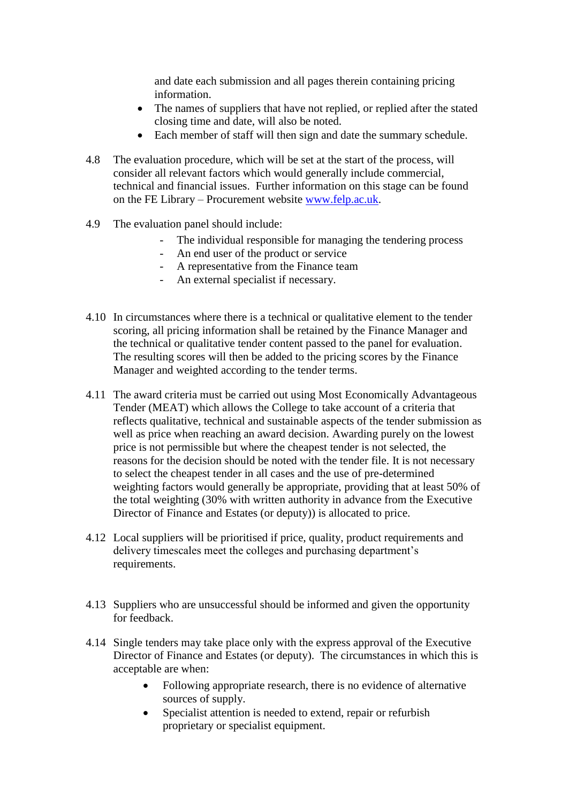and date each submission and all pages therein containing pricing information.

- The names of suppliers that have not replied, or replied after the stated closing time and date, will also be noted.
- Each member of staff will then sign and date the summary schedule.
- 4.8 The evaluation procedure, which will be set at the start of the process, will consider all relevant factors which would generally include commercial, technical and financial issues. Further information on this stage can be found on the FE Library – Procurement website [www.felp.ac.uk.](http://www.felp.ac.uk/)
- 4.9 The evaluation panel should include:
	- The individual responsible for managing the tendering process
	- An end user of the product or service
	- A representative from the Finance team
	- An external specialist if necessary.
- 4.10 In circumstances where there is a technical or qualitative element to the tender scoring, all pricing information shall be retained by the Finance Manager and the technical or qualitative tender content passed to the panel for evaluation. The resulting scores will then be added to the pricing scores by the Finance Manager and weighted according to the tender terms.
- 4.11 The award criteria must be carried out using Most Economically Advantageous Tender (MEAT) which allows the College to take account of a criteria that reflects qualitative, technical and sustainable aspects of the tender submission as well as price when reaching an award decision. Awarding purely on the lowest price is not permissible but where the cheapest tender is not selected, the reasons for the decision should be noted with the tender file. It is not necessary to select the cheapest tender in all cases and the use of pre-determined weighting factors would generally be appropriate, providing that at least 50% of the total weighting (30% with written authority in advance from the Executive Director of Finance and Estates (or deputy)) is allocated to price.
- 4.12 Local suppliers will be prioritised if price, quality, product requirements and delivery timescales meet the colleges and purchasing department's requirements.
- 4.13 Suppliers who are unsuccessful should be informed and given the opportunity for feedback.
- 4.14 Single tenders may take place only with the express approval of the Executive Director of Finance and Estates (or deputy). The circumstances in which this is acceptable are when:
	- Following appropriate research, there is no evidence of alternative sources of supply.
	- Specialist attention is needed to extend, repair or refurbish proprietary or specialist equipment.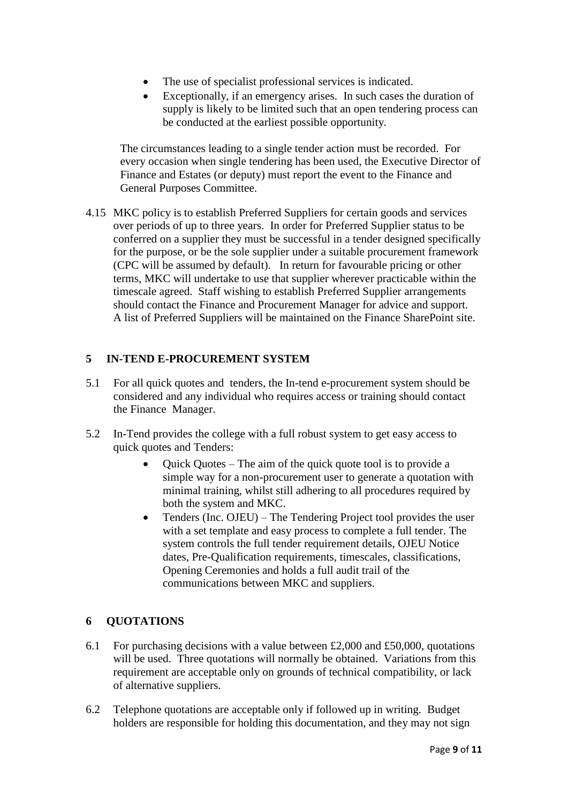- The use of specialist professional services is indicated.
- Exceptionally, if an emergency arises. In such cases the duration of supply is likely to be limited such that an open tendering process can be conducted at the earliest possible opportunity.

The circumstances leading to a single tender action must be recorded. For every occasion when single tendering has been used, the Executive Director of Finance and Estates (or deputy) must report the event to the Finance and General Purposes Committee.

4.15 MKC policy is to establish Preferred Suppliers for certain goods and services over periods of up to three years. In order for Preferred Supplier status to be conferred on a supplier they must be successful in a tender designed specifically for the purpose, or be the sole supplier under a suitable procurement framework (CPC will be assumed by default). In return for favourable pricing or other terms, MKC will undertake to use that supplier wherever practicable within the timescale agreed. Staff wishing to establish Preferred Supplier arrangements should contact the Finance and Procurement Manager for advice and support. A list of Preferred Suppliers will be maintained on the Finance SharePoint site.

## **5 IN-TEND E-PROCUREMENT SYSTEM**

- 5.1 For all quick quotes and tenders, the In-tend e-procurement system should be considered and any individual who requires access or training should contact the Finance Manager.
- 5.2 In-Tend provides the college with a full robust system to get easy access to quick quotes and Tenders:
	- Quick Quotes The aim of the quick quote tool is to provide a simple way for a non-procurement user to generate a quotation with minimal training, whilst still adhering to all procedures required by both the system and MKC.
	- Tenders (Inc. OJEU) The Tendering Project tool provides the user with a set template and easy process to complete a full tender. The system controls the full tender requirement details, OJEU Notice dates, Pre-Qualification requirements, timescales, classifications, Opening Ceremonies and holds a full audit trail of the communications between MKC and suppliers.

## **6 QUOTATIONS**

- 6.1 For purchasing decisions with a value between  $£2,000$  and  $£50,000$ , quotations will be used. Three quotations will normally be obtained. Variations from this requirement are acceptable only on grounds of technical compatibility, or lack of alternative suppliers.
- 6.2 Telephone quotations are acceptable only if followed up in writing. Budget holders are responsible for holding this documentation, and they may not sign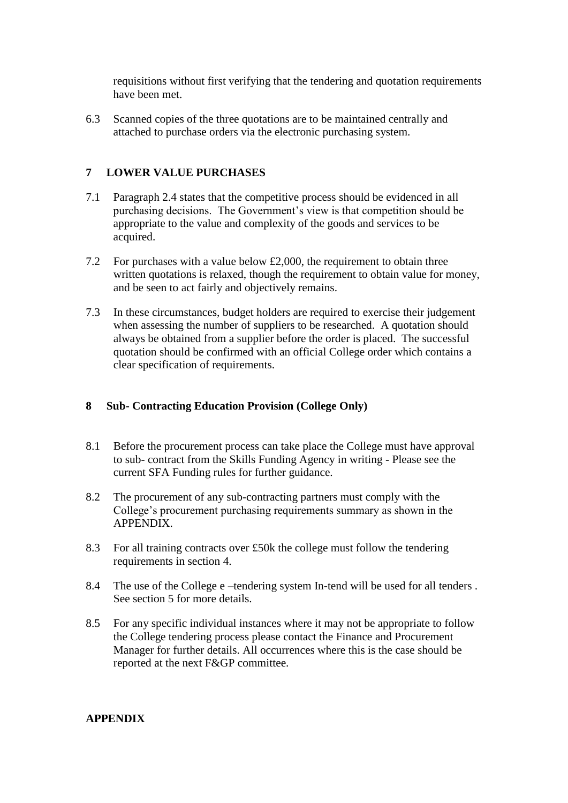requisitions without first verifying that the tendering and quotation requirements have been met.

6.3 Scanned copies of the three quotations are to be maintained centrally and attached to purchase orders via the electronic purchasing system.

## **7 LOWER VALUE PURCHASES**

- 7.1 Paragraph 2.4 states that the competitive process should be evidenced in all purchasing decisions. The Government's view is that competition should be appropriate to the value and complexity of the goods and services to be acquired.
- 7.2 For purchases with a value below £2,000, the requirement to obtain three written quotations is relaxed, though the requirement to obtain value for money, and be seen to act fairly and objectively remains.
- 7.3 In these circumstances, budget holders are required to exercise their judgement when assessing the number of suppliers to be researched. A quotation should always be obtained from a supplier before the order is placed. The successful quotation should be confirmed with an official College order which contains a clear specification of requirements.

#### **8 Sub- Contracting Education Provision (College Only)**

- 8.1 Before the procurement process can take place the College must have approval to sub- contract from the Skills Funding Agency in writing - Please see the current SFA Funding rules for further guidance.
- 8.2 The procurement of any sub-contracting partners must comply with the College's procurement purchasing requirements summary as shown in the APPENDIX.
- 8.3 For all training contracts over £50k the college must follow the tendering requirements in section 4.
- 8.4 The use of the College e –tendering system In-tend will be used for all tenders . See section 5 for more details.
- 8.5 For any specific individual instances where it may not be appropriate to follow the College tendering process please contact the Finance and Procurement Manager for further details. All occurrences where this is the case should be reported at the next F&GP committee.

#### **APPENDIX**